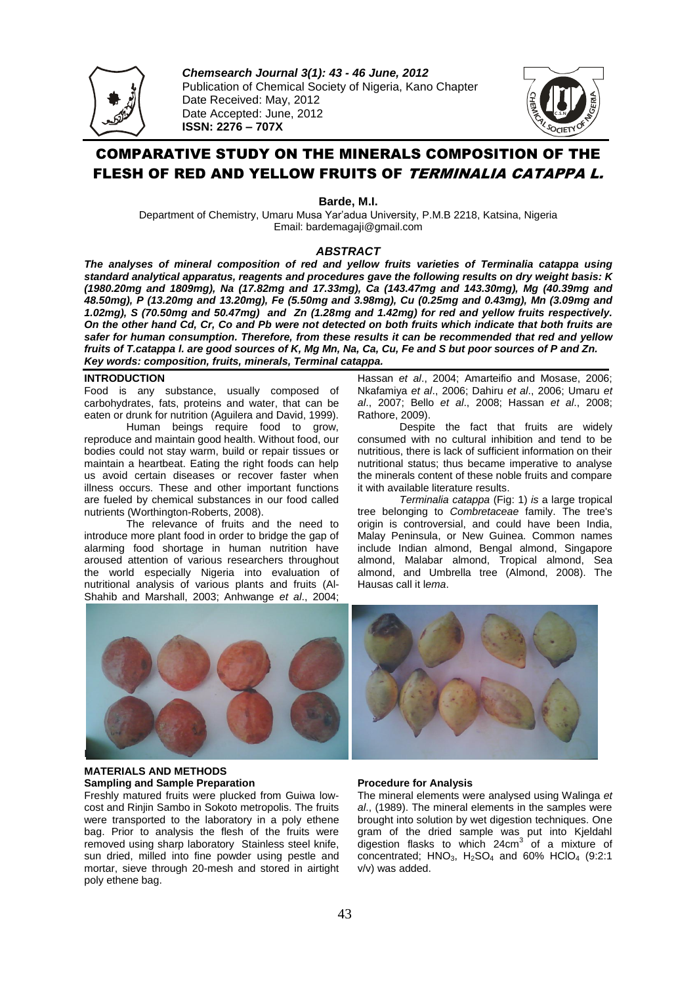

*Chemsearch Journal 3(1): 43 - 46 June, 2012* Publication of Chemical Society of Nigeria, Kano Chapter Date Received: May, 2012 Date Accepted: June, 2012 **ISSN: 2276 – 707X** 



# COMPARATIVE STUDY ON THE MINERALS COMPOSITION OF THE FLESH OF RED AND YELLOW FRUITS OF TERMINALIA CATAPPA L.

**Barde, M.I.**

Department of Chemistry, Umaru Musa Yar'adua University, P.M.B 2218, Katsina, Nigeria Email: bardemagaji@gmail.com

# *ABSTRACT*

*The analyses of mineral composition of red and yellow fruits varieties of Terminalia catappa using standard analytical apparatus, reagents and procedures gave the following results on dry weight basis: K (1980.20mg and 1809mg), Na (17.82mg and 17.33mg), Ca (143.47mg and 143.30mg), Mg (40.39mg and 48.50mg), P (13.20mg and 13.20mg), Fe (5.50mg and 3.98mg), Cu (0.25mg and 0.43mg), Mn (3.09mg and 1.02mg), S (70.50mg and 50.47mg) and Zn (1.28mg and 1.42mg) for red and yellow fruits respectively. On the other hand Cd, Cr, Co and Pb were not detected on both fruits which indicate that both fruits are safer for human consumption. Therefore, from these results it can be recommended that red and yellow fruits of T.catappa l. are good sources of K, Mg Mn, Na, Ca, Cu, Fe and S but poor sources of P and Zn. Key words: composition, fruits, minerals, Terminal catappa.*

# **INTRODUCTION**

Food is any substance, usually composed of [carbohydrates,](http://en.wikipedia.org/wiki/Carbohydrate) [fats,](http://en.wikipedia.org/wiki/Fat) [proteins](http://en.wikipedia.org/wiki/Protein) and [water,](http://en.wikipedia.org/wiki/Water) that can be [eaten](http://en.wikipedia.org/wiki/Eating) o[r drunk](http://en.wikipedia.org/wiki/Drinking) fo[r nutrition](http://en.wikipedia.org/wiki/Nutrition) (Aguilera and David, 1999).

Human beings require food to grow, reproduce and maintain good health. Without food, our bodies could not stay warm, build or repair tissues or maintain a heartbeat. Eating the right foods can help us avoid certain diseases or recover faster when illness occurs. These and other important functions are fueled by chemical substances in our food called nutrients (Worthington-Roberts, 2008).

The relevance of fruits and the need to introduce more plant food in order to bridge the gap of alarming food shortage in human nutrition have aroused attention of various researchers throughout the world especially Nigeria into evaluation of nutritional analysis of various plants and fruits (Al-Shahib and Marshall, 2003; Anhwange *et al*., 2004;

Hassan *et al*., 2004; Amarteifio and Mosase, 2006; Nkafamiya *et al*., 2006; Dahiru *et al*., 2006; Umaru *et al*., 2007; Bello *et al*., 2008; Hassan *et al*., 2008; Rathore, 2009).

Despite the fact that fruits are widely consumed with no cultural inhibition and tend to be nutritious, there is lack of sufficient information on their nutritional status; thus became imperative to analyse the minerals content of these noble fruits and compare it with available literature results.

*Terminalia catappa* (Fig: 1) *is* a large [tropical](http://en.wikipedia.org/wiki/Tropics) tree belonging to *[Combretaceae](http://en.wikipedia.org/wiki/Combretaceae)* family. The tree's origin is controversial, and could have been [India,](http://en.wikipedia.org/wiki/India) [Malay Peninsula,](http://en.wikipedia.org/wiki/Malay_peninsula) or [New Guinea.](http://en.wikipedia.org/wiki/New_Guinea) Common names include Indian almond, Bengal almond, Singapore almond, Malabar almond, Tropical almond, Sea almond, and Umbrella tree (Almond, 2008). The Hausas call it l*ema*.



# **MATERIALS AND METHODS Sampling and Sample Preparation**

Freshly matured fruits were plucked from Guiwa lowcost and Rinjin Sambo in Sokoto metropolis. The fruits were transported to the laboratory in a poly ethene bag. Prior to analysis the flesh of the fruits were removed using sharp laboratory Stainless steel knife, sun dried, milled into fine powder using pestle and mortar, sieve through 20-mesh and stored in airtight poly ethene bag.

# **Procedure for Analysis**

The mineral elements were analysed using Walinga *et al*., (1989). The mineral elements in the samples were brought into solution by wet digestion techniques. One gram of the dried sample was put into Kjeldahl digestion flasks to which 24cm<sup>3</sup> of a mixture of concentrated;  $HNO<sub>3</sub>$ ,  $H<sub>2</sub>SO<sub>4</sub>$  and 60%  $HClO<sub>4</sub>$  (9:2:1 v/v) was added.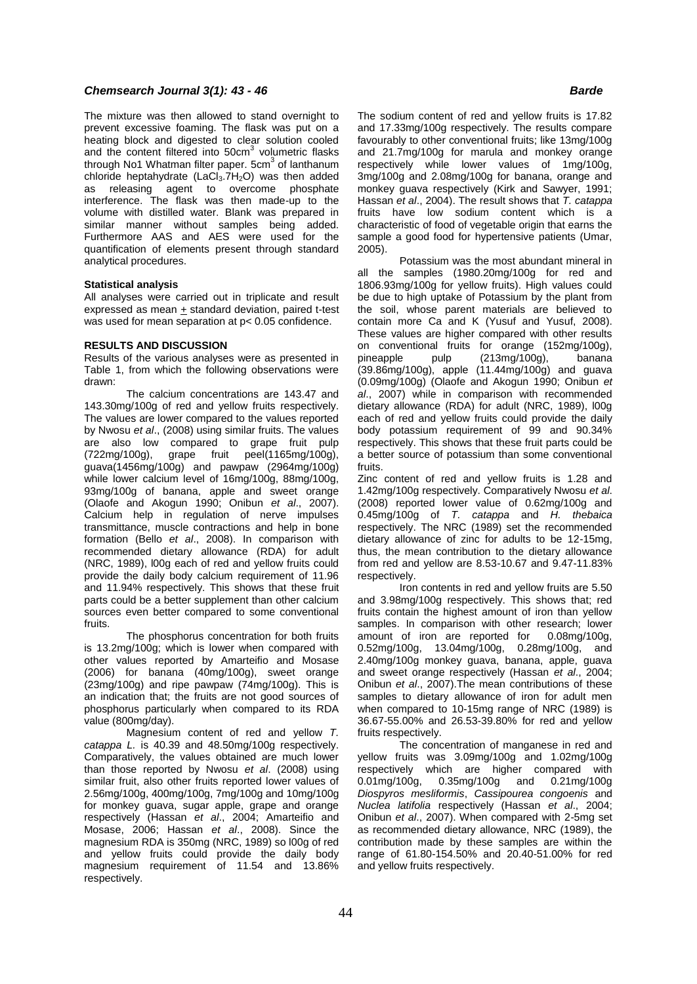# **Chemsearch Journal 3(1): 43 - 46 Barde** *Barde**Barde* **<b>Barde Barde Barde Barde**

The mixture was then allowed to stand overnight to prevent excessive foaming. The flask was put on a heating block and digested to clear solution cooled and the content filtered into  $50 \text{cm}^3$  volumetric flasks through No1 Whatman filter paper. 5cm<sup>3</sup> of lanthanum chloride heptahydrate (LaCl<sub>3</sub>.7H<sub>2</sub>O) was then added as releasing agent to overcome phosphate interference. The flask was then made-up to the volume with distilled water. Blank was prepared in similar manner without samples being added. Furthermore AAS and AES were used for the quantification of elements present through standard analytical procedures.

#### **Statistical analysis**

All analyses were carried out in triplicate and result expressed as mean  $+$  standard deviation, paired t-test was used for mean separation at p< 0.05 confidence.

#### **RESULTS AND DISCUSSION**

Results of the various analyses were as presented in Table 1, from which the following observations were drawn:

The calcium concentrations are 143.47 and 143.30mg/100g of red and yellow fruits respectively. The values are lower compared to the values reported by Nwosu *et al*., (2008) using similar fruits. The values are also low compared to grape fruit pulp (722mg/100g), grape fruit peel(1165mg/100g), guava(1456mg/100g) and pawpaw (2964mg/100g) while lower calcium level of 16mg/100g, 88mg/100g, 93mg/100g of banana, apple and sweet orange (Olaofe and Akogun 1990; Onibun *et al*., 2007). Calcium help in regulation of nerve impulses transmittance, muscle contractions and help in bone formation (Bello *et al*., 2008). In comparison with recommended dietary allowance (RDA) for adult (NRC, 1989), l00g each of red and yellow fruits could provide the daily body calcium requirement of 11.96 and 11.94% respectively. This shows that these fruit parts could be a better supplement than other calcium sources even better compared to some conventional fruits.

The phosphorus concentration for both fruits is 13.2mg/100g; which is lower when compared with other values reported by Amarteifio and Mosase (2006) for banana (40mg/100g), sweet orange (23mg/100g) and ripe pawpaw (74mg/100g). This is an indication that; the fruits are not good sources of phosphorus particularly when compared to its RDA value (800mg/day).

Magnesium content of red and yellow *T. catappa L.* is 40.39 and 48.50mg/100g respectively. Comparatively, the values obtained are much lower than those reported by Nwosu *et al*. (2008) using similar fruit, also other fruits reported lower values of 2.56mg/100g, 400mg/100g, 7mg/100g and 10mg/100g for monkey guava, sugar apple, grape and orange respectively (Hassan *et al*., 2004; Amarteifio and Mosase, 2006; Hassan *et al*., 2008). Since the magnesium RDA is 350mg (NRC, 1989) so l00g of red and yellow fruits could provide the daily body magnesium requirement of 11.54 and 13.86% respectively.

The sodium content of red and yellow fruits is 17.82 and 17.33mg/100g respectively. The results compare favourably to other conventional fruits; like 13mg/100g and 21.7mg/100g for marula and monkey orange respectively while lower values of 1mg/100g, 3mg/100g and 2.08mg/100g for banana, orange and monkey guava respectively (Kirk and Sawyer, 1991; Hassan *et al*., 2004). The result shows that *T. catappa* fruits have low sodium content which is a characteristic of food of vegetable origin that earns the sample a good food for hypertensive patients (Umar, 2005).

Potassium was the most abundant mineral in all the samples (1980.20mg/100g for red and 1806.93mg/100g for yellow fruits). High values could be due to high uptake of Potassium by the plant from the soil, whose parent materials are believed to contain more Ca and K (Yusuf and Yusuf, 2008). These values are higher compared with other results on conventional fruits for orange (152mg/100g),<br>pineapple pulp (213mg/100g), banana pineapple pulp (213mg/100g), banana (39.86mg/100g), apple (11.44mg/100g) and guava (0.09mg/100g) (Olaofe and Akogun 1990; Onibun *et al*., 2007) while in comparison with recommended dietary allowance (RDA) for adult (NRC, 1989), l00g each of red and yellow fruits could provide the daily body potassium requirement of 99 and 90.34% respectively. This shows that these fruit parts could be a better source of potassium than some conventional fruits.

Zinc content of red and yellow fruits is 1.28 and 1.42mg/100g respectively. Comparatively Nwosu *et al*. (2008) reported lower value of 0.62mg/100g and 0.45mg/100g of *T. catappa* and *H. thebaica* respectively. The NRC (1989) set the recommended dietary allowance of zinc for adults to be 12-15mg, thus, the mean contribution to the dietary allowance from red and yellow are 8.53-10.67 and 9.47-11.83% respectively.

Iron contents in red and yellow fruits are 5.50 and 3.98mg/100g respectively. This shows that; red fruits contain the highest amount of iron than yellow samples. In comparison with other research; lower amount of iron are reported for 0.08mg/100g, 0.52mg/100g, 13.04mg/100g, 0.28mg/100g, and 2.40mg/100g monkey guava, banana, apple, guava and sweet orange respectively (Hassan *et al*., 2004; Onibun *et al*., 2007).The mean contributions of these samples to dietary allowance of iron for adult men when compared to 10-15mg range of NRC (1989) is 36.67-55.00% and 26.53-39.80% for red and yellow fruits respectively.

The concentration of manganese in red and yellow fruits was 3.09mg/100g and 1.02mg/100g respectively which are higher compared with 0.01mg/100g, 0.35mg/100g and 0.21mg/100g 0.01mg/100g, 0.35mg/100g and 0.21mg/100g *Diospyros mesliformis*, *Cassipourea congoenis* and *Nuclea latifolia* respectively (Hassan *et al*., 2004; Onibun *et al*., 2007). When compared with 2-5mg set as recommended dietary allowance, NRC (1989), the contribution made by these samples are within the range of 61.80-154.50% and 20.40-51.00% for red and yellow fruits respectively.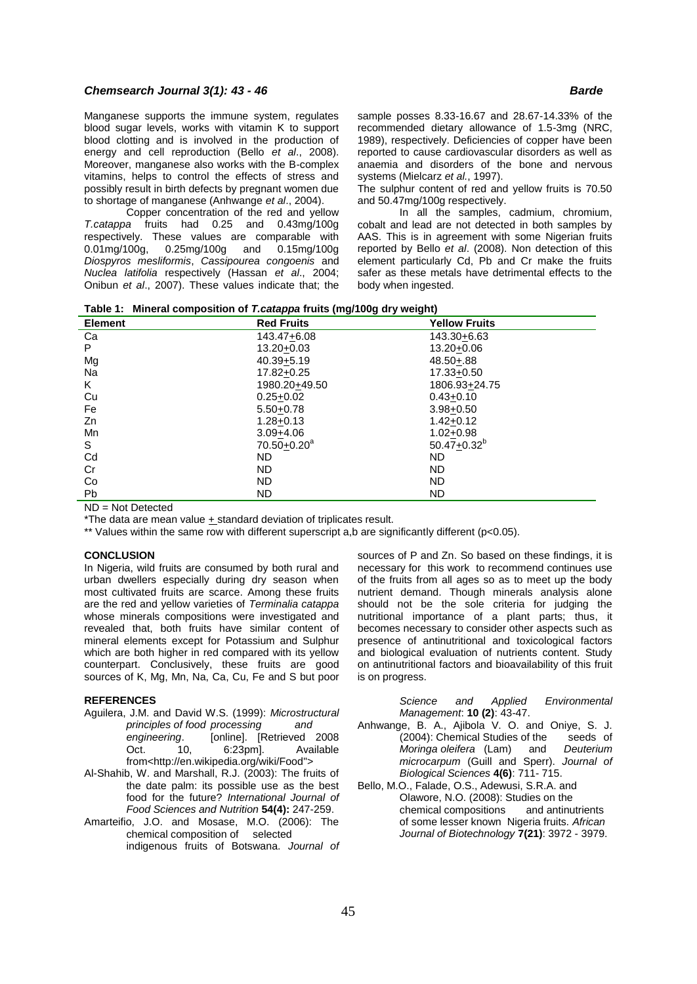# **Chemsearch Journal 3(1): 43 - 46 Barde** *Barde**Barde* **<b>Barde Barde Barde Barde**

Manganese supports the immune system, regulates blood sugar levels, works with vitamin K to support blood clotting and is involved in the production of energy and cell reproduction (Bello *et al*., 2008). Moreover, manganese also works with the B-complex vitamins, helps to control the effects of stress and possibly result in birth defects by pregnant women due to shortage of manganese (Anhwange *et al*., 2004).

Copper concentration of the red and yellow *T.catappa* fruits had 0.25 and 0.43mg/100g respectively. These values are comparable with 0.01mg/100g, 0.25mg/100g and 0.15mg/100g  $0.25$ mg/100g and *Diospyros mesliformis*, *Cassipourea congoenis* and *Nuclea latifolia* respectively (Hassan *et al*., 2004; Onibun *et al*., 2007). These values indicate that; the sample posses 8.33-16.67 and 28.67-14.33% of the recommended dietary allowance of 1.5-3mg (NRC, 1989), respectively. Deficiencies of copper have been reported to cause cardiovascular disorders as well as anaemia and disorders of the bone and nervous systems (Mielcarz *et al.*, 1997).

The sulphur content of red and yellow fruits is 70.50 and 50.47mg/100g respectively.

In all the samples, cadmium, chromium, cobalt and lead are not detected in both samples by AAS. This is in agreement with some Nigerian fruits reported by Bello *et al*. (2008). Non detection of this element particularly Cd, Pb and Cr make the fruits safer as these metals have detrimental effects to the body when ingested.

**Table 1: Mineral composition of** *T.catappa* **fruits (mg/100g dry weight)**

| <b>Element</b> | <b>Red Fruits</b>           | <b>Yellow Fruits</b> |
|----------------|-----------------------------|----------------------|
| Ca             | 143.47+6.08                 | 143.30+6.63          |
| P              | 13.20+0.03                  | 13.20+0.06           |
| Mg             | $40.39 + 5.19$              | $48.50 + .88$        |
| Na             | 17.82±0.25                  | 17.33+0.50           |
| K              | 1980.20+49.50               | 1806.93+24.75        |
| Cu             | $0.25 + 0.02$               | $0.43 + 0.10$        |
| Fe             | $5.50 + 0.78$               | $3.98 + 0.50$        |
| Zn             | $1.28 + 0.13$               | $1.42 + 0.12$        |
| Mn             | $3.09 + 4.06$               | $1.02 + 0.98$        |
| S              | $70.50 + 0.20$ <sup>a</sup> | $50.47 + 0.32^{b}$   |
| Cd             | <b>ND</b>                   | ND.                  |
| Cr             | <b>ND</b>                   | ND.                  |
| Co             | <b>ND</b>                   | ND.                  |
| <b>Pb</b>      | <b>ND</b>                   | <b>ND</b>            |

ND = Not Detected

\*The data are mean value + standard deviation of triplicates result.

\*\* Values within the same row with different superscript a,b are significantly different (p<0.05).

# **CONCLUSION**

In Nigeria, wild fruits are consumed by both rural and urban dwellers especially during dry season when most cultivated fruits are scarce. Among these fruits are the red and yellow varieties of *Terminalia catappa* whose minerals compositions were investigated and revealed that, both fruits have similar content of mineral elements except for Potassium and Sulphur which are both higher in red compared with its yellow counterpart. Conclusively, these fruits are good sources of K, Mg, Mn, Na, Ca, Cu, Fe and S but poor

### **REFERENCES**

Aguilera, J.M. and David W.S. (1999): *Microstructural principles of food processing and*  engineering. [online]. [Retrieved 2008 Oct. 10, 6:23pm]. Available from[<http://en.wikipedia.org/wiki/Food"](http://en.wikipedia.org/wiki/Food)>

- Al-Shahib, W. and Marshall, R.J. (2003): The fruits of the date palm: its possible use as the best food for the future? *International Journal of Food Sciences and Nutrition* **54(4):** 247-259.
- Amarteifio, J.O. and Mosase, M.O. (2006): The chemical composition of selected indigenous fruits of Botswana. *Journal of*

sources of P and Zn. So based on these findings, it is necessary for this work to recommend continues use of the fruits from all ages so as to meet up the body nutrient demand. Though minerals analysis alone should not be the sole criteria for judging the nutritional importance of a plant parts; thus, it becomes necessary to consider other aspects such as presence of antinutritional and toxicological factors and biological evaluation of nutrients content. Study on antinutritional factors and bioavailability of this fruit is on progress.

*Science and Applied Environmental Management*: **10 (2)**: 43-47.

- Anhwange, B. A., Ajibola V. O. and Oniye, S. J. (2004): Chemical Studies of the seeds of<br>Moringa oleifera (Lam) and Deuterium *Moringa oleifera* (Lam) *microcarpum* (Guill and Sperr). *Journal of Biological Sciences* **4(6)**: 711- 715.
- Bello, M.O., Falade, O.S., Adewusi, S.R.A. and Olawore, N.O. (2008): Studies on the chemical compositions and antinutrients of some lesser known Nigeria fruits*. African Journal of Biotechnology* **7(21)**: 3972 - 3979.